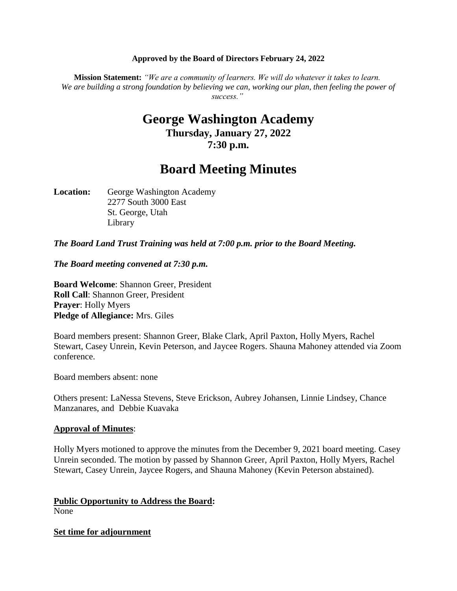#### **Approved by the Board of Directors February 24, 2022**

**Mission Statement:** *"We are a community of learners. We will do whatever it takes to learn. We are building a strong foundation by believing we can, working our plan, then feeling the power of success."*

# **George Washington Academy Thursday, January 27, 2022 7:30 p.m.**

# **Board Meeting Minutes**

Location: George Washington Academy 2277 South 3000 East St. George, Utah Library

*The Board Land Trust Training was held at 7:00 p.m. prior to the Board Meeting.*

*The Board meeting convened at 7:30 p.m.*

**Board Welcome**: Shannon Greer, President **Roll Call**: Shannon Greer, President **Prayer**: Holly Myers **Pledge of Allegiance:** Mrs. Giles

Board members present: Shannon Greer, Blake Clark, April Paxton, Holly Myers, Rachel Stewart, Casey Unrein, Kevin Peterson, and Jaycee Rogers. Shauna Mahoney attended via Zoom conference.

Board members absent: none

Others present: LaNessa Stevens, Steve Erickson, Aubrey Johansen, Linnie Lindsey, Chance Manzanares, and Debbie Kuavaka

#### **Approval of Minutes**:

Holly Myers motioned to approve the minutes from the December 9, 2021 board meeting. Casey Unrein seconded. The motion by passed by Shannon Greer, April Paxton, Holly Myers, Rachel Stewart, Casey Unrein, Jaycee Rogers, and Shauna Mahoney (Kevin Peterson abstained).

### **Public Opportunity to Address the Board:**

None

#### **Set time for adjournment**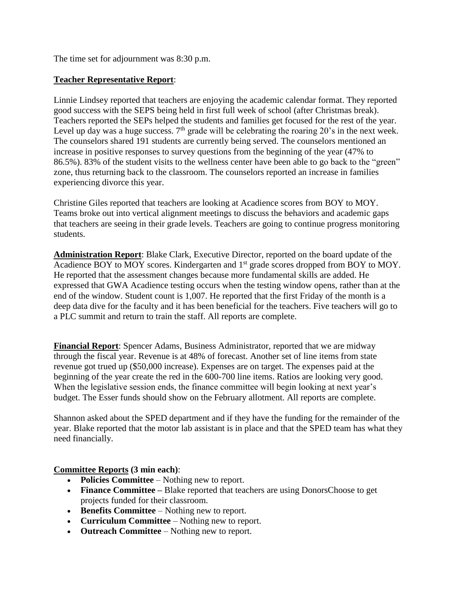The time set for adjournment was 8:30 p.m.

## **Teacher Representative Report**:

Linnie Lindsey reported that teachers are enjoying the academic calendar format. They reported good success with the SEPS being held in first full week of school (after Christmas break). Teachers reported the SEPs helped the students and families get focused for the rest of the year. Level up day was a huge success.  $7<sup>th</sup>$  grade will be celebrating the roaring 20's in the next week. The counselors shared 191 students are currently being served. The counselors mentioned an increase in positive responses to survey questions from the beginning of the year (47% to 86.5%). 83% of the student visits to the wellness center have been able to go back to the "green" zone, thus returning back to the classroom. The counselors reported an increase in families experiencing divorce this year.

Christine Giles reported that teachers are looking at Acadience scores from BOY to MOY. Teams broke out into vertical alignment meetings to discuss the behaviors and academic gaps that teachers are seeing in their grade levels. Teachers are going to continue progress monitoring students.

**Administration Report**: Blake Clark, Executive Director, reported on the board update of the Acadience BOY to MOY scores. Kindergarten and 1<sup>st</sup> grade scores dropped from BOY to MOY. He reported that the assessment changes because more fundamental skills are added. He expressed that GWA Acadience testing occurs when the testing window opens, rather than at the end of the window. Student count is 1,007. He reported that the first Friday of the month is a deep data dive for the faculty and it has been beneficial for the teachers. Five teachers will go to a PLC summit and return to train the staff. All reports are complete.

**Financial Report**: Spencer Adams, Business Administrator, reported that we are midway through the fiscal year. Revenue is at 48% of forecast. Another set of line items from state revenue got trued up (\$50,000 increase). Expenses are on target. The expenses paid at the beginning of the year create the red in the 600-700 line items. Ratios are looking very good. When the legislative session ends, the finance committee will begin looking at next year's budget. The Esser funds should show on the February allotment. All reports are complete.

Shannon asked about the SPED department and if they have the funding for the remainder of the year. Blake reported that the motor lab assistant is in place and that the SPED team has what they need financially.

**Committee Reports (3 min each)**:

- **Policies Committee** Nothing new to report.
- **Finance Committee** Blake reported that teachers are using DonorsChoose to get projects funded for their classroom.
- **Benefits Committee** Nothing new to report.
- **Curriculum Committee** Nothing new to report.
- **Outreach Committee** Nothing new to report.